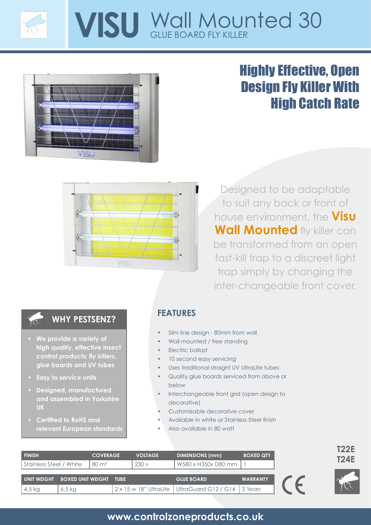

# **VISU** Wall Mounted 30



# Highly Effective, Open Design Fly Killer With High Catch Rate



Designed to be adaptable to suit any back or front of house environment, the **Visu Wall Mounted** fly killer can be transformed from an open fast-kill trap to a discreet light trap simply by changing the inter-changeable front cover.

#### **WHY PESTSENZ?**

- **• We provide a variety of high quality, effective insect control products; fly killers, glue boards and UV tubes**
- **• Easy to service units**
- **• Designed, manufactured and assembled in Yorkshire UK**
- **• Certified to RoHS and relevant European standards**

#### **FEATURES**

- Slim line design 80mm from wall
- Wall mounted / free standing
- Electric ballast
- 10 second easy servicing
- Uses traditional straight UV UltraLite tubes
- Quality glue boards serviced from above or below
- Interchangeable front grid (open design to decorative)
- Customisable decorative cover
- Available in white or Stainless Steel finish
- Also available in 80 watt

| I FINISH                | <b>COVERAGE</b>          |                  | <b>VOLTAGE</b> | <b>DIMENSIONS (mm)</b> | <b>BOXED QTY</b>                                        |                 | <b>T24E</b> |  |
|-------------------------|--------------------------|------------------|----------------|------------------------|---------------------------------------------------------|-----------------|-------------|--|
| Stainless Steel / White |                          | $80 \text{ m}^2$ |                | 230v                   | W580 x H350x D80 mm                                     |                 |             |  |
| <b>UNIT WEIGHT</b>      | <b>BOXED UNIT WEIGHT</b> |                  | <b>TUBE</b>    |                        | <b>GLUE BOARD</b>                                       | <b>WARRANTY</b> |             |  |
| $4.5$ kg                | $6.5$ kg                 |                  |                |                        | 2 x 15 w 18" UltraLite   UltraGuard G12 / G14   3 Years |                 |             |  |

## **www.controlzoneproducts.co.uk**